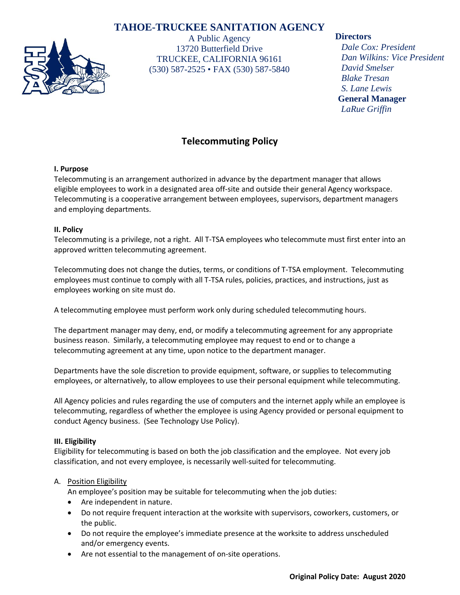# **TAHOE-TRUCKEE SANITATION AGENCY**



A Public Agency 13720 Butterfield Drive TRUCKEE, CALIFORNIA 96161 (530) 587-2525 • FAX (530) 587-5840

### **Directors**

*Dale Cox: President Dan Wilkins: Vice President David Smelser Blake Tresan S. Lane Lewis* **General Manager** *LaRue Griffin*

# **Telecommuting Policy**

### **I. Purpose**

Telecommuting is an arrangement authorized in advance by the department manager that allows eligible employees to work in a designated area off-site and outside their general Agency workspace. Telecommuting is a cooperative arrangement between employees, supervisors, department managers and employing departments.

### **II. Policy**

Telecommuting is a privilege, not a right. All T-TSA employees who telecommute must first enter into an approved written telecommuting agreement.

Telecommuting does not change the duties, terms, or conditions of T-TSA employment. Telecommuting employees must continue to comply with all T-TSA rules, policies, practices, and instructions, just as employees working on site must do.

A telecommuting employee must perform work only during scheduled telecommuting hours.

The department manager may deny, end, or modify a telecommuting agreement for any appropriate business reason. Similarly, a telecommuting employee may request to end or to change a telecommuting agreement at any time, upon notice to the department manager.

Departments have the sole discretion to provide equipment, software, or supplies to telecommuting employees, or alternatively, to allow employees to use their personal equipment while telecommuting.

All Agency policies and rules regarding the use of computers and the internet apply while an employee is telecommuting, regardless of whether the employee is using Agency provided or personal equipment to conduct Agency business. (See Technology Use Policy).

### **III. Eligibility**

Eligibility for telecommuting is based on both the job classification and the employee. Not every job classification, and not every employee, is necessarily well-suited for telecommuting.

### A. Position Eligibility

An employee's position may be suitable for telecommuting when the job duties:

- Are independent in nature.
- Do not require frequent interaction at the worksite with supervisors, coworkers, customers, or the public.
- Do not require the employee's immediate presence at the worksite to address unscheduled and/or emergency events.
- Are not essential to the management of on-site operations.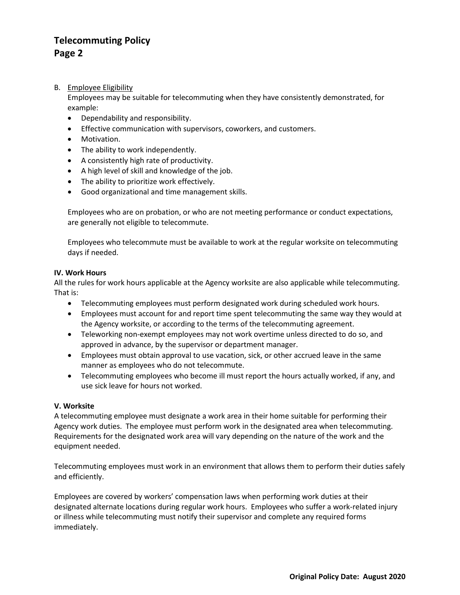# **Telecommuting Policy Page 2**

B. Employee Eligibility

Employees may be suitable for telecommuting when they have consistently demonstrated, for example:

- Dependability and responsibility.
- Effective communication with supervisors, coworkers, and customers.
- Motivation.
- The ability to work independently.
- A consistently high rate of productivity.
- A high level of skill and knowledge of the job.
- The ability to prioritize work effectively.
- Good organizational and time management skills.

Employees who are on probation, or who are not meeting performance or conduct expectations, are generally not eligible to telecommute.

Employees who telecommute must be available to work at the regular worksite on telecommuting days if needed.

#### **IV. Work Hours**

All the rules for work hours applicable at the Agency worksite are also applicable while telecommuting. That is:

- Telecommuting employees must perform designated work during scheduled work hours.
- Employees must account for and report time spent telecommuting the same way they would at the Agency worksite, or according to the terms of the telecommuting agreement.
- Teleworking non-exempt employees may not work overtime unless directed to do so, and approved in advance, by the supervisor or department manager.
- Employees must obtain approval to use vacation, sick, or other accrued leave in the same manner as employees who do not telecommute.
- Telecommuting employees who become ill must report the hours actually worked, if any, and use sick leave for hours not worked.

### **V. Worksite**

A telecommuting employee must designate a work area in their home suitable for performing their Agency work duties. The employee must perform work in the designated area when telecommuting. Requirements for the designated work area will vary depending on the nature of the work and the equipment needed.

Telecommuting employees must work in an environment that allows them to perform their duties safely and efficiently.

Employees are covered by workers' compensation laws when performing work duties at their designated alternate locations during regular work hours. Employees who suffer a work-related injury or illness while telecommuting must notify their supervisor and complete any required forms immediately.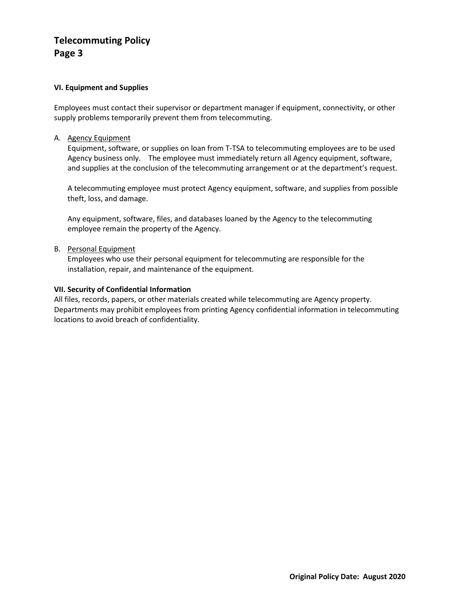# **Telecommuting Policy Page 3**

### **VI. Equipment and Supplies**

Employees must contact their supervisor or department manager if equipment, connectivity, or other supply problems temporarily prevent them from telecommuting.

A. Agency Equipment

Equipment, software, or supplies on loan from T-TSA to telecommuting employees are to be used Agency business only. The employee must immediately return all Agency equipment, software, and supplies at the conclusion of the telecommuting arrangement or at the department's request.

A telecommuting employee must protect Agency equipment, software, and supplies from possible theft, loss, and damage.

Any equipment, software, files, and databases loaned by the Agency to the telecommuting employee remain the property of the Agency.

B. Personal Equipment

Employees who use their personal equipment for telecommuting are responsible for the installation, repair, and maintenance of the equipment.

### **VII. Security of Confidential Information**

All files, records, papers, or other materials created while telecommuting are Agency property. Departments may prohibit employees from printing Agency confidential information in telecommuting locations to avoid breach of confidentiality.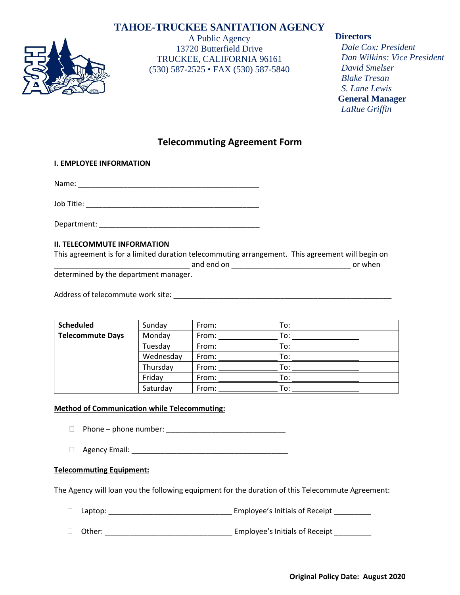# **TAHOE-TRUCKEE SANITATION AGENCY**



A Public Agency 13720 Butterfield Drive TRUCKEE, CALIFORNIA 96161 (530) 587-2525 • FAX (530) 587-5840

### **Directors**

*Dale Cox: President Dan Wilkins: Vice President David Smelser Blake Tresan S. Lane Lewis* **General Manager** *LaRue Griffin*

## **Telecommuting Agreement Form**

### **I. EMPLOYEE INFORMATION**

Name: \_\_\_\_\_\_\_\_\_\_\_\_\_\_\_\_\_\_\_\_\_\_\_\_\_\_\_\_\_\_\_\_\_\_\_\_\_\_\_\_\_\_\_\_

Job Title: **We have also controlled to the set of the set of the set of the set of the set of the set of the set of the set of the set of the set of the set of the set of the set of the set of the set of the set of the set** 

Department: \_\_\_\_\_\_\_\_\_\_\_\_\_\_\_\_\_\_\_\_\_\_\_\_\_\_\_\_\_\_\_\_\_\_\_\_\_\_\_

### **II. TELECOMMUTE INFORMATION**

| This agreement is for a limited duration telecommuting arrangement. This agreement will begin on |            |         |
|--------------------------------------------------------------------------------------------------|------------|---------|
|                                                                                                  | and end on | or when |
| determined by the department manager.                                                            |            |         |

Address of telecommute work site:  $\Box$ 

| <b>Scheduled</b>        | Sunday    | From: | To: |
|-------------------------|-----------|-------|-----|
| <b>Telecommute Days</b> | Monday    | From: | To: |
|                         | Tuesday   | From: | To: |
|                         | Wednesday | From: | To: |
|                         | Thursday  | From: | To: |
|                         | Friday    | From: | To: |
|                         | Saturday  | From: | To: |

### **Method of Communication while Telecommuting:**

- Phone phone number: \_\_\_\_\_\_\_\_\_\_\_\_\_\_\_\_\_\_\_\_\_\_\_\_\_\_\_\_\_
- Agency Email: \_\_\_\_\_\_\_\_\_\_\_\_\_\_\_\_\_\_\_\_\_\_\_\_\_\_\_\_\_\_\_\_\_\_\_\_\_\_

### **Telecommuting Equipment:**

The Agency will loan you the following equipment for the duration of this Telecommute Agreement:

Laptop: \_\_\_\_\_\_\_\_\_\_\_\_\_\_\_\_\_\_\_\_\_\_\_\_\_\_\_\_\_\_ Employee's Initials of Receipt \_\_\_\_\_\_\_\_\_

Other: \_\_\_\_\_\_\_\_\_\_\_\_\_\_\_\_\_\_\_\_\_\_\_\_\_\_\_\_\_\_\_ Employee's Initials of Receipt \_\_\_\_\_\_\_\_\_